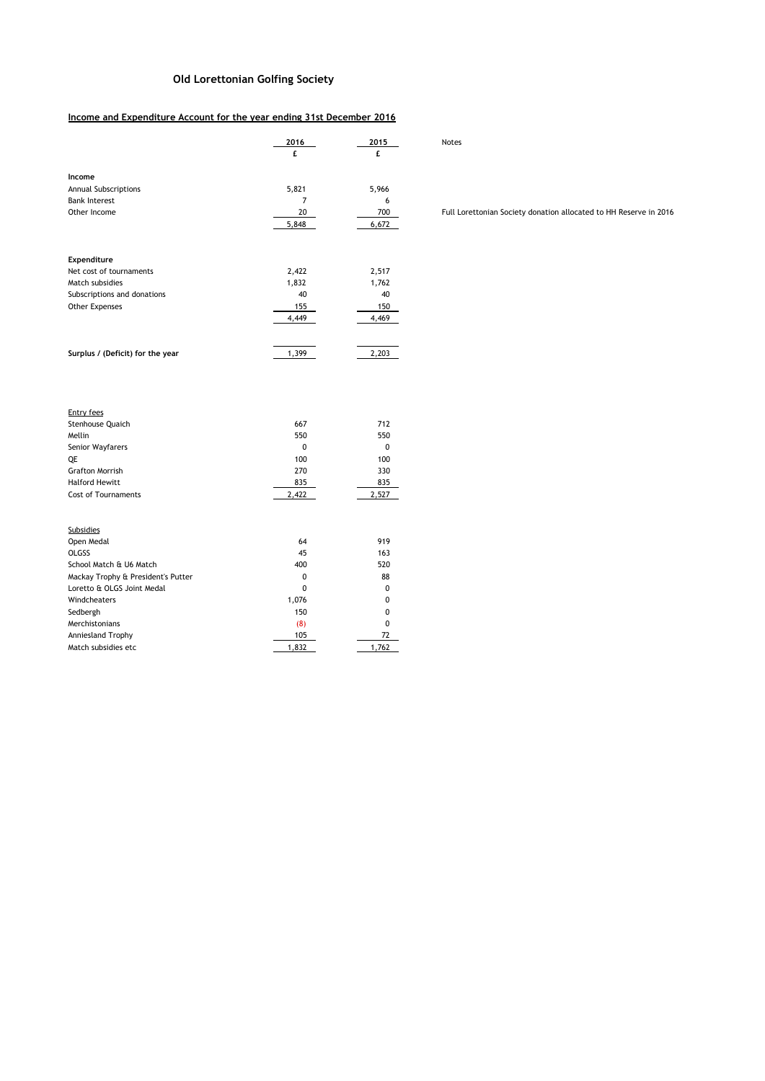## **Old Lorettonian Golfing Society**

## **Income and Expenditure Account for the year ending 31st December 2016**

|                                                                                              | 2016                   | 2015         |  |  |
|----------------------------------------------------------------------------------------------|------------------------|--------------|--|--|
|                                                                                              | £                      | £            |  |  |
|                                                                                              |                        |              |  |  |
| Income                                                                                       | 5,821                  | 5,966        |  |  |
| <b>Annual Subscriptions</b><br><b>Bank Interest</b>                                          | 7                      | 6            |  |  |
| Other Income                                                                                 | 20                     | 700          |  |  |
|                                                                                              | 5,848                  | 6,672        |  |  |
|                                                                                              |                        |              |  |  |
|                                                                                              |                        |              |  |  |
| Expenditure                                                                                  |                        |              |  |  |
| Net cost of tournaments                                                                      | 2,422                  | 2,517        |  |  |
| Match subsidies                                                                              | 1,832                  | 1,762        |  |  |
| Subscriptions and donations                                                                  | 40                     | 40           |  |  |
| Other Expenses                                                                               | 155                    | 150          |  |  |
|                                                                                              | 4,449                  | 4,469        |  |  |
|                                                                                              |                        |              |  |  |
|                                                                                              |                        |              |  |  |
| Surplus / (Deficit) for the year                                                             | 1,399                  | 2,203        |  |  |
|                                                                                              |                        |              |  |  |
|                                                                                              |                        |              |  |  |
|                                                                                              |                        |              |  |  |
| <b>Entry fees</b>                                                                            |                        |              |  |  |
| Stenhouse Quaich                                                                             | 667                    | 712          |  |  |
| Mellin                                                                                       | 550                    | 550          |  |  |
| Senior Wayfarers                                                                             | 0                      | 0            |  |  |
| QE                                                                                           | 100                    | 100          |  |  |
| <b>Grafton Morrish</b>                                                                       | 270                    | 330          |  |  |
| <b>Halford Hewitt</b>                                                                        | 835                    | 835          |  |  |
| <b>Cost of Tournaments</b>                                                                   | 2,422                  | 2,527        |  |  |
|                                                                                              |                        |              |  |  |
|                                                                                              |                        |              |  |  |
| <b>Subsidies</b>                                                                             | 64                     |              |  |  |
| Open Medal<br><b>OLGSS</b>                                                                   | 45                     | 919<br>163   |  |  |
| School Match & U6 Match                                                                      | 400                    | 520          |  |  |
|                                                                                              |                        |              |  |  |
|                                                                                              |                        |              |  |  |
|                                                                                              |                        |              |  |  |
|                                                                                              |                        | 0            |  |  |
| Mackay Trophy & President's Putter<br>Loretto & OLGS Joint Medal<br>Windcheaters<br>Sedbergh | 0<br>0<br>1,076<br>150 | 88<br>0<br>0 |  |  |

Sedbergh 150 0<br>Merchistonians (8) 0<br>Description (8) 0 Merchistonians (8) 0<br>Anniesland Trophy 105 105 72

Match subsidies etc  $\overline{1,832}$  1,762

Anniesland Trophy

Full Lorettonian Society donation allocated to HH Reserve in 2016

**2016 2015** Notes